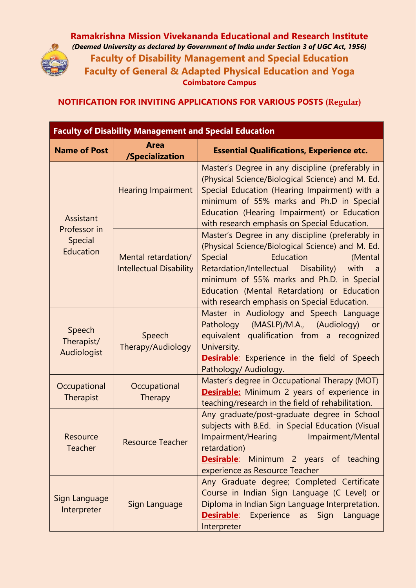

**Ramakrishna Mission Vivekananda Educational and Research Institute** *(Deemed University as declared by Government of India under Section 3 of UGC Act, 1956)* **Faculty of Disability Management and Special Education Faculty of General & Adapted Physical Education and Yoga Coimbatore Campus**

**NOTIFICATION FOR INVITING APPLICATIONS FOR VARIOUS POSTS (Regular)**

| <b>Faculty of Disability Management and Special Education</b> |                                                       |                                                                                                                                                                                                                                                                                                                                                       |
|---------------------------------------------------------------|-------------------------------------------------------|-------------------------------------------------------------------------------------------------------------------------------------------------------------------------------------------------------------------------------------------------------------------------------------------------------------------------------------------------------|
| <b>Name of Post</b>                                           | <b>Area</b><br>/Specialization                        | <b>Essential Qualifications, Experience etc.</b>                                                                                                                                                                                                                                                                                                      |
| Assistant<br>Professor in<br>Special<br>Education             | <b>Hearing Impairment</b>                             | Master's Degree in any discipline (preferably in<br>(Physical Science/Biological Science) and M. Ed.<br>Special Education (Hearing Impairment) with a<br>minimum of 55% marks and Ph.D in Special<br>Education (Hearing Impairment) or Education<br>with research emphasis on Special Education.                                                      |
|                                                               | Mental retardation/<br><b>Intellectual Disability</b> | Master's Degree in any discipline (preferably in<br>(Physical Science/Biological Science) and M. Ed.<br>Education<br>Special<br>(Mental<br>Retardation/Intellectual Disability)<br>with<br>$\overline{a}$<br>minimum of 55% marks and Ph.D. in Special<br>Education (Mental Retardation) or Education<br>with research emphasis on Special Education. |
| Speech<br>Therapist/<br>Audiologist                           | Speech<br>Therapy/Audiology                           | Master in Audiology and Speech Language<br>Pathology (MASLP)/M.A., (Audiology)<br>or<br>equivalent<br>qualification from a<br>recognized<br>University.<br><b>Desirable:</b> Experience in the field of Speech<br>Pathology/ Audiology.                                                                                                               |
| Occupational<br>Therapist                                     | Occupational<br>Therapy                               | Master's degree in Occupational Therapy (MOT)<br><b>Desirable:</b> Minimum 2 years of experience in<br>teaching/research in the field of rehabilitation.                                                                                                                                                                                              |
| Resource<br><b>Teacher</b>                                    | <b>Resource Teacher</b>                               | Any graduate/post-graduate degree in School<br>subjects with B.Ed. in Special Education (Visual<br>Impairment/Hearing<br>Impairment/Mental<br>retardation)<br><b>Desirable:</b> Minimum 2 years of teaching<br>experience as Resource Teacher                                                                                                         |
| Sign Language<br>Interpreter                                  | Sign Language                                         | Any Graduate degree; Completed Certificate<br>Course in Indian Sign Language (C Level) or<br>Diploma in Indian Sign Language Interpretation.<br><b>Desirable</b> : Experience as Sign<br>Language<br>Interpreter                                                                                                                                      |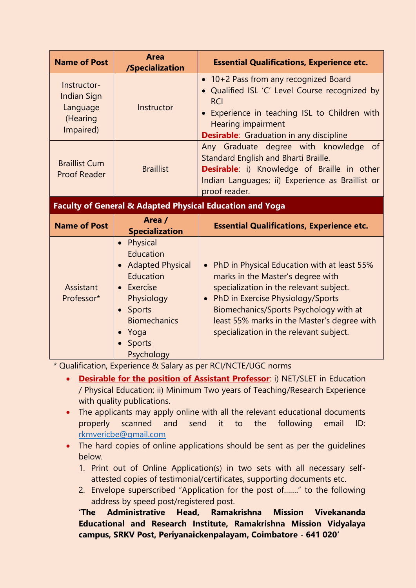| <b>Name of Post</b>                                                    | <b>Area</b><br>/Specialization                                                                                                                                                       | <b>Essential Qualifications, Experience etc.</b>                                                                                                                                                                                                                                                         |
|------------------------------------------------------------------------|--------------------------------------------------------------------------------------------------------------------------------------------------------------------------------------|----------------------------------------------------------------------------------------------------------------------------------------------------------------------------------------------------------------------------------------------------------------------------------------------------------|
| Instructor-<br><b>Indian Sign</b><br>Language<br>(Hearing<br>Impaired) | Instructor                                                                                                                                                                           | • 10+2 Pass from any recognized Board<br>Qualified ISL 'C' Level Course recognized by<br><b>RCI</b><br>Experience in teaching ISL to Children with<br>$\bullet$<br><b>Hearing impairment</b><br><b>Desirable:</b> Graduation in any discipline                                                           |
| <b>Braillist Cum</b><br><b>Proof Reader</b>                            | <b>Braillist</b>                                                                                                                                                                     | Any Graduate degree with knowledge<br>of<br>Standard English and Bharti Braille.<br>Desirable: i) Knowledge of Braille in other<br>Indian Languages; ii) Experience as Braillist or<br>proof reader.                                                                                                     |
| <b>Faculty of General &amp; Adapted Physical Education and Yoga</b>    |                                                                                                                                                                                      |                                                                                                                                                                                                                                                                                                          |
| <b>Name of Post</b>                                                    | Area /<br><b>Specialization</b>                                                                                                                                                      | <b>Essential Qualifications, Experience etc.</b>                                                                                                                                                                                                                                                         |
| Assistant<br>Professor*                                                | Physical<br>$\bullet$<br>Education<br>• Adapted Physical<br>Education<br>Exercise<br>Physiology<br>Sports<br>$\bullet$<br><b>Biomechanics</b><br>Yoga<br><b>Sports</b><br>Psychology | • PhD in Physical Education with at least 55%<br>marks in the Master's degree with<br>specialization in the relevant subject.<br>• PhD in Exercise Physiology/Sports<br>Biomechanics/Sports Psychology with at<br>least 55% marks in the Master's degree with<br>specialization in the relevant subject. |

\* Qualification, Experience & Salary as per RCI/NCTE/UGC norms

- **Desirable for the position of Assistant Professor**: i) NET/SLET in Education / Physical Education; ii) Minimum Two years of Teaching/Research Experience with quality publications.
- The applicants may apply online with all the relevant educational documents properly scanned and send it to the following email ID: rkmvericbe@gmail.com
- The hard copies of online applications should be sent as per the quidelines below.
	- 1. Print out of Online Application(s) in two sets with all necessary selfattested copies of testimonial/certificates, supporting documents etc.
	- 2. Envelope superscribed "Application for the post of……." to the following address by speed post/registered post.

**'The Administrative Head, Ramakrishna Mission Vivekananda Educational and Research Institute, Ramakrishna Mission Vidyalaya campus, SRKV Post, Periyanaickenpalayam, Coimbatore - 641 020'**